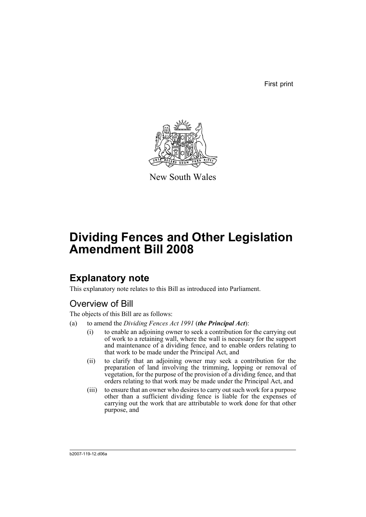First print



New South Wales

# **Dividing Fences and Other Legislation Amendment Bill 2008**

## **Explanatory note**

This explanatory note relates to this Bill as introduced into Parliament.

### Overview of Bill

The objects of this Bill are as follows:

- (a) to amend the *Dividing Fences Act 1991* (*the Principal Act*):
	- (i) to enable an adjoining owner to seek a contribution for the carrying out of work to a retaining wall, where the wall is necessary for the support and maintenance of a dividing fence, and to enable orders relating to that work to be made under the Principal Act, and
	- (ii) to clarify that an adjoining owner may seek a contribution for the preparation of land involving the trimming, lopping or removal of vegetation, for the purpose of the provision of a dividing fence, and that orders relating to that work may be made under the Principal Act, and
	- (iii) to ensure that an owner who desires to carry out such work for a purpose other than a sufficient dividing fence is liable for the expenses of carrying out the work that are attributable to work done for that other purpose, and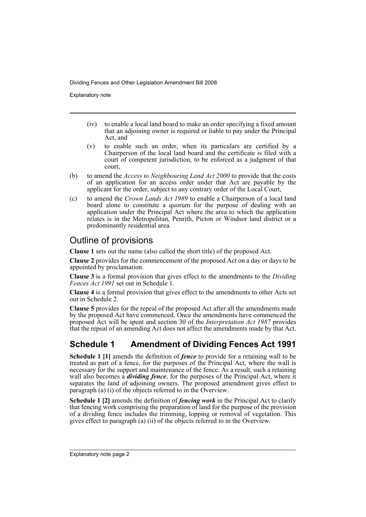Explanatory note

- (iv) to enable a local land board to make an order specifying a fixed amount that an adjoining owner is required or liable to pay under the Principal Act, and
- (v) to enable such an order, when its particulars are certified by a Chairperson of the local land board and the certificate is filed with a court of competent jurisdiction, to be enforced as a judgment of that court,
- (b) to amend the *Access to Neighbouring Land Act 2000* to provide that the costs of an application for an access order under that Act are payable by the applicant for the order, subject to any contrary order of the Local Court,
- (c) to amend the *Crown Lands Act 1989* to enable a Chairperson of a local land board alone to constitute a quorum for the purpose of dealing with an application under the Principal Act where the area to which the application relates is in the Metropolitan, Penrith, Picton or Windsor land district or a predominantly residential area.

### Outline of provisions

**Clause 1** sets out the name (also called the short title) of the proposed Act.

**Clause 2** provides for the commencement of the proposed Act on a day or days to be appointed by proclamation.

**Clause 3** is a formal provision that gives effect to the amendments to the *Dividing Fences Act 1991* set out in Schedule 1.

**Clause 4** is a formal provision that gives effect to the amendments to other Acts set out in Schedule 2.

**Clause 5** provides for the repeal of the proposed Act after all the amendments made by the proposed Act have commenced. Once the amendments have commenced the proposed Act will be spent and section 30 of the *Interpretation Act 1987* provides that the repeal of an amending Act does not affect the amendments made by that Act.

### **Schedule 1 Amendment of Dividing Fences Act 1991**

**Schedule 1 [1]** amends the definition of *fence* to provide for a retaining wall to be treated as part of a fence, for the purposes of the Principal Act, where the wall is necessary for the support and maintenance of the fence. As a result, such a retaining wall also becomes a *dividing fence*, for the purposes of the Principal Act, where it separates the land of adjoining owners. The proposed amendment gives effect to paragraph (a) (i) of the objects referred to in the Overview.

**Schedule 1 [2]** amends the definition of *fencing work* in the Principal Act to clarify that fencing work comprising the preparation of land for the purpose of the provision of a dividing fence includes the trimming, lopping or removal of vegetation. This gives effect to paragraph (a) (ii) of the objects referred to in the Overview.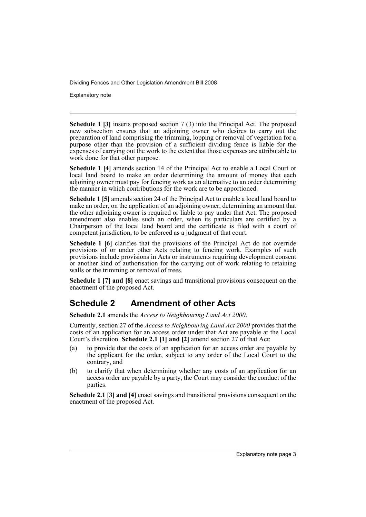Explanatory note

**Schedule 1 [3]** inserts proposed section 7 (3) into the Principal Act. The proposed new subsection ensures that an adjoining owner who desires to carry out the preparation of land comprising the trimming, lopping or removal of vegetation for a purpose other than the provision of a sufficient dividing fence is liable for the expenses of carrying out the work to the extent that those expenses are attributable to work done for that other purpose.

**Schedule 1 [4]** amends section 14 of the Principal Act to enable a Local Court or local land board to make an order determining the amount of money that each adjoining owner must pay for fencing work as an alternative to an order determining the manner in which contributions for the work are to be apportioned.

**Schedule 1 [5]** amends section 24 of the Principal Act to enable a local land board to make an order, on the application of an adjoining owner, determining an amount that the other adjoining owner is required or liable to pay under that Act. The proposed amendment also enables such an order, when its particulars are certified by a Chairperson of the local land board and the certificate is filed with a court of competent jurisdiction, to be enforced as a judgment of that court.

**Schedule 1 [6]** clarifies that the provisions of the Principal Act do not override provisions of or under other Acts relating to fencing work. Examples of such provisions include provisions in Acts or instruments requiring development consent or another kind of authorisation for the carrying out of work relating to retaining walls or the trimming or removal of trees.

**Schedule 1 [7] and [8]** enact savings and transitional provisions consequent on the enactment of the proposed Act.

### **Schedule 2 Amendment of other Acts**

**Schedule 2.1** amends the *Access to Neighbouring Land Act 2000*.

Currently, section 27 of the *Access to Neighbouring Land Act 2000* provides that the costs of an application for an access order under that Act are payable at the Local Court's discretion. **Schedule 2.1 [1] and [2]** amend section 27 of that Act:

- (a) to provide that the costs of an application for an access order are payable by the applicant for the order, subject to any order of the Local Court to the contrary, and
- (b) to clarify that when determining whether any costs of an application for an access order are payable by a party, the Court may consider the conduct of the parties.

**Schedule 2.1 [3] and [4]** enact savings and transitional provisions consequent on the enactment of the proposed Act.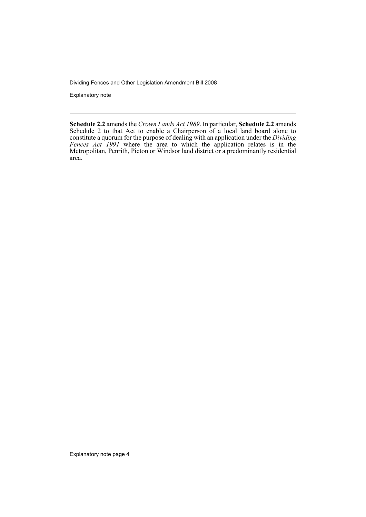Explanatory note

**Schedule 2.2** amends the *Crown Lands Act 1989*. In particular, **Schedule 2.2** amends Schedule 2 to that Act to enable a Chairperson of a local land board alone to constitute a quorum for the purpose of dealing with an application under the *Dividing Fences Act 1991* where the area to which the application relates is in the Metropolitan, Penrith, Picton or Windsor land district or a predominantly residential area.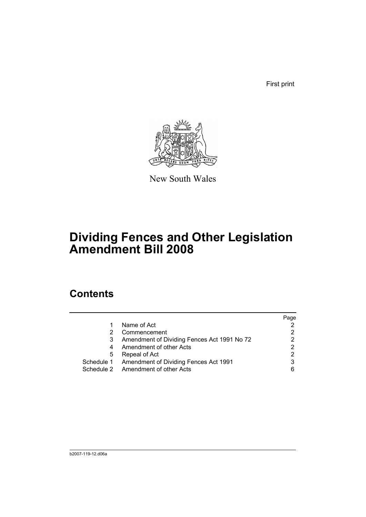First print



New South Wales

# **Dividing Fences and Other Legislation Amendment Bill 2008**

## **Contents**

|   |                                                  | Page |
|---|--------------------------------------------------|------|
| 1 | Name of Act                                      |      |
| 2 | Commencement                                     |      |
| 3 | Amendment of Dividing Fences Act 1991 No 72      |      |
| 4 | Amendment of other Acts                          | 2    |
| 5 | Repeal of Act                                    |      |
|   | Schedule 1 Amendment of Dividing Fences Act 1991 | 3    |
|   | Schedule 2 Amendment of other Acts               |      |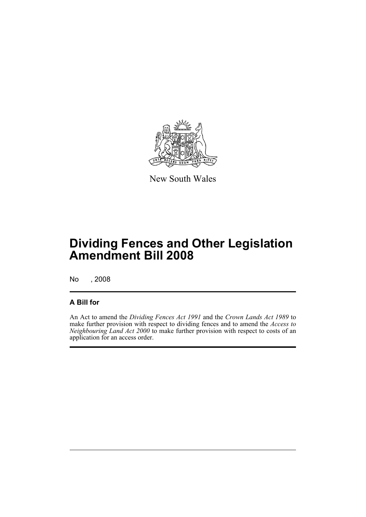

New South Wales

## **Dividing Fences and Other Legislation Amendment Bill 2008**

No , 2008

#### **A Bill for**

An Act to amend the *Dividing Fences Act 1991* and the *Crown Lands Act 1989* to make further provision with respect to dividing fences and to amend the *Access to Neighbouring Land Act 2000* to make further provision with respect to costs of an application for an access order.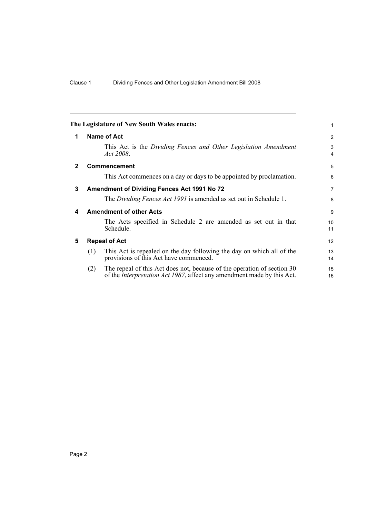<span id="page-7-4"></span><span id="page-7-3"></span><span id="page-7-2"></span><span id="page-7-1"></span><span id="page-7-0"></span>

|              | The Legislature of New South Wales enacts:                                                                                                                       | 1              |
|--------------|------------------------------------------------------------------------------------------------------------------------------------------------------------------|----------------|
| 1            | Name of Act                                                                                                                                                      | 2              |
|              | This Act is the Dividing Fences and Other Legislation Amendment<br>Act 2008.                                                                                     | 3<br>4         |
| $\mathbf{2}$ | <b>Commencement</b>                                                                                                                                              | 5              |
|              | This Act commences on a day or days to be appointed by proclamation.                                                                                             | 6              |
| 3            | <b>Amendment of Dividing Fences Act 1991 No 72</b>                                                                                                               | $\overline{7}$ |
|              | The Dividing Fences Act 1991 is amended as set out in Schedule 1.                                                                                                | 8              |
| 4            | <b>Amendment of other Acts</b>                                                                                                                                   | 9              |
|              | The Acts specified in Schedule 2 are amended as set out in that<br>Schedule.                                                                                     | 10<br>11       |
| 5            | <b>Repeal of Act</b>                                                                                                                                             | 12             |
|              | This Act is repealed on the day following the day on which all of the<br>(1)<br>provisions of this Act have commenced.                                           | 13<br>14       |
|              | The repeal of this Act does not, because of the operation of section 30<br>(2)<br>of the <i>Interpretation Act 1987</i> , affect any amendment made by this Act. | 15<br>16       |
|              |                                                                                                                                                                  |                |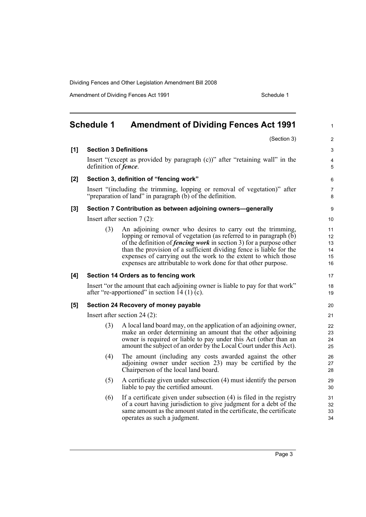Amendment of Dividing Fences Act 1991 Schedule 1

<span id="page-8-0"></span>

|     | <b>Schedule 1</b>                                                                                                                        | <b>Amendment of Dividing Fences Act 1991</b>                                                                                                                                                                                                                                                                                                                                                                            | 1                                |  |
|-----|------------------------------------------------------------------------------------------------------------------------------------------|-------------------------------------------------------------------------------------------------------------------------------------------------------------------------------------------------------------------------------------------------------------------------------------------------------------------------------------------------------------------------------------------------------------------------|----------------------------------|--|
|     |                                                                                                                                          | (Section 3)                                                                                                                                                                                                                                                                                                                                                                                                             | $\overline{2}$                   |  |
| [1] | <b>Section 3 Definitions</b>                                                                                                             |                                                                                                                                                                                                                                                                                                                                                                                                                         | 3                                |  |
|     | Insert "(except as provided by paragraph (c))" after "retaining wall" in the<br>definition of <i>fence</i> .                             |                                                                                                                                                                                                                                                                                                                                                                                                                         | 4<br>5                           |  |
| [2] | Section 3, definition of "fencing work"                                                                                                  |                                                                                                                                                                                                                                                                                                                                                                                                                         | 6                                |  |
|     | Insert "(including the trimming, lopping or removal of vegetation)" after<br>"preparation of land" in paragraph $(b)$ of the definition. |                                                                                                                                                                                                                                                                                                                                                                                                                         | $\overline{7}$<br>8              |  |
| [3] |                                                                                                                                          | Section 7 Contribution as between adjoining owners-generally                                                                                                                                                                                                                                                                                                                                                            | 9                                |  |
|     |                                                                                                                                          | Insert after section $7(2)$ :                                                                                                                                                                                                                                                                                                                                                                                           |                                  |  |
|     | (3)                                                                                                                                      | An adjoining owner who desires to carry out the trimming,<br>lopping or removal of vegetation (as referred to in paragraph (b)<br>of the definition of <i>fencing work</i> in section 3) for a purpose other<br>than the provision of a sufficient dividing fence is liable for the<br>expenses of carrying out the work to the extent to which those<br>expenses are attributable to work done for that other purpose. | 11<br>12<br>13<br>14<br>15<br>16 |  |
| [4] |                                                                                                                                          | Section 14 Orders as to fencing work                                                                                                                                                                                                                                                                                                                                                                                    | 17                               |  |
|     |                                                                                                                                          | Insert "or the amount that each adjoining owner is liable to pay for that work"<br>after "re-apportioned" in section 14 (1) $(c)$ .                                                                                                                                                                                                                                                                                     | 18<br>19                         |  |
| [5] |                                                                                                                                          | Section 24 Recovery of money payable                                                                                                                                                                                                                                                                                                                                                                                    | 20                               |  |
|     |                                                                                                                                          | Insert after section 24 $(2)$ :                                                                                                                                                                                                                                                                                                                                                                                         | 21                               |  |
|     | (3)                                                                                                                                      | A local land board may, on the application of an adjoining owner,<br>make an order determining an amount that the other adjoining<br>owner is required or liable to pay under this Act (other than an<br>amount the subject of an order by the Local Court under this Act).                                                                                                                                             | 22<br>23<br>24<br>25             |  |
|     | (4)                                                                                                                                      | The amount (including any costs awarded against the other<br>adjoining owner under section 23) may be certified by the<br>Chairperson of the local land board.                                                                                                                                                                                                                                                          | 26<br>27<br>28                   |  |
|     | (5)                                                                                                                                      | A certificate given under subsection (4) must identify the person<br>liable to pay the certified amount.                                                                                                                                                                                                                                                                                                                | 29<br>30                         |  |
|     | (6)                                                                                                                                      | If a certificate given under subsection $(4)$ is filed in the registry<br>of a court having jurisdiction to give judgment for a debt of the<br>same amount as the amount stated in the certificate, the certificate<br>operates as such a judgment.                                                                                                                                                                     | 31<br>32<br>33<br>34             |  |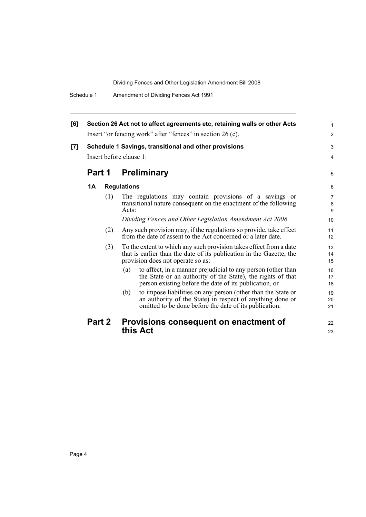| [6] |                         |     | Section 26 Act not to affect agreements etc, retaining walls or other Acts                                                                                                                   | $\mathbf{1}$                   |
|-----|-------------------------|-----|----------------------------------------------------------------------------------------------------------------------------------------------------------------------------------------------|--------------------------------|
|     |                         |     | Insert "or fencing work" after "fences" in section 26 (c).                                                                                                                                   | $\overline{2}$                 |
| [7] |                         |     | Schedule 1 Savings, transitional and other provisions                                                                                                                                        | 3                              |
|     | Insert before clause 1: |     |                                                                                                                                                                                              | $\overline{4}$                 |
|     |                         |     | <b>Part 1 Preliminary</b>                                                                                                                                                                    | 5                              |
|     | 1A                      |     | <b>Regulations</b>                                                                                                                                                                           | 6                              |
|     |                         | (1) | The regulations may contain provisions of a savings or<br>transitional nature consequent on the enactment of the following<br>Acts:                                                          | $\overline{7}$<br>$\bf 8$<br>9 |
|     |                         |     | Dividing Fences and Other Legislation Amendment Act 2008                                                                                                                                     | 10                             |
|     |                         | (2) | Any such provision may, if the regulations so provide, take effect<br>from the date of assent to the Act concerned or a later date.                                                          | 11<br>12                       |
|     |                         | (3) | To the extent to which any such provision takes effect from a date<br>that is earlier than the date of its publication in the Gazette, the<br>provision does not operate so as:              | 13<br>14<br>15                 |
|     |                         |     | to affect, in a manner prejudicial to any person (other than<br>(a)<br>the State or an authority of the State), the rights of that<br>person existing before the date of its publication, or | 16<br>17<br>18                 |
|     |                         |     | to impose liabilities on any person (other than the State or<br>(b)<br>an authority of the State) in respect of anything done or<br>omitted to be done before the date of its publication.   | 19<br>20<br>21                 |
|     | Part 2                  |     | Provisions consequent on enactment of                                                                                                                                                        | 22                             |
|     |                         |     | this Act                                                                                                                                                                                     | 23                             |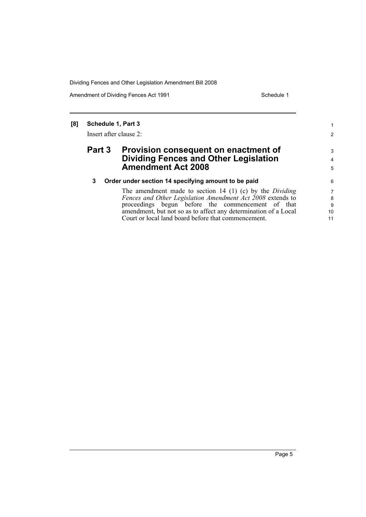Amendment of Dividing Fences Act 1991 Schedule 1

1 2

3 4 5

#### **[8] Schedule 1, Part 3**

Insert after clause 2:

#### **Part 3 Provision consequent on enactment of Dividing Fences and Other Legislation Amendment Act 2008**

#### **3 Order under section 14 specifying amount to be paid**

The amendment made to section 14 (1) (c) by the *Dividing Fences and Other Legislation Amendment Act 2008* extends to proceedings begun before the commencement of that amendment, but not so as to affect any determination of a Local Court or local land board before that commencement.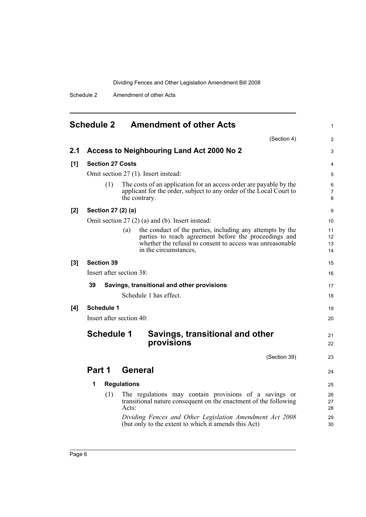Schedule 2 Amendment of other Acts

<span id="page-11-0"></span>

|     | <b>Schedule 2</b>        | <b>Amendment of other Acts</b>                                                                                                                                                                                  | $\mathbf{1}$             |
|-----|--------------------------|-----------------------------------------------------------------------------------------------------------------------------------------------------------------------------------------------------------------|--------------------------|
|     |                          | (Section 4)                                                                                                                                                                                                     | $\overline{2}$           |
| 2.1 |                          | Access to Neighbouring Land Act 2000 No 2                                                                                                                                                                       | 3                        |
| [1] | <b>Section 27 Costs</b>  |                                                                                                                                                                                                                 | $\overline{4}$           |
|     |                          | Omit section 27 (1). Insert instead:                                                                                                                                                                            | 5                        |
|     | (1)                      | The costs of an application for an access order are payable by the<br>applicant for the order, subject to any order of the Local Court to<br>the contrary.                                                      | 6<br>$\overline{7}$<br>8 |
| [2] | Section 27 (2) (a)       |                                                                                                                                                                                                                 | 9                        |
|     |                          | Omit section $27(2)$ (a) and (b). Insert instead:                                                                                                                                                               | 10 <sup>1</sup>          |
|     |                          | the conduct of the parties, including any attempts by the<br>(a)<br>parties to reach agreement before the proceedings and<br>whether the refusal to consent to access was unreasonable<br>in the circumstances, | 11<br>12<br>13<br>14     |
| [3] | <b>Section 39</b>        |                                                                                                                                                                                                                 | 15                       |
|     | Insert after section 38: |                                                                                                                                                                                                                 | 16                       |
|     | 39                       | Savings, transitional and other provisions                                                                                                                                                                      | 17                       |
|     |                          | Schedule 1 has effect.                                                                                                                                                                                          | 18                       |
| [4] | <b>Schedule 1</b>        |                                                                                                                                                                                                                 | 19                       |
|     | Insert after section 40: |                                                                                                                                                                                                                 | 20                       |
|     | <b>Schedule 1</b>        | Savings, transitional and other<br>provisions                                                                                                                                                                   | 21<br>22                 |
|     |                          | (Section 39)                                                                                                                                                                                                    | 23                       |
|     | Part 1                   | General                                                                                                                                                                                                         | 24                       |
|     | 1                        | <b>Regulations</b>                                                                                                                                                                                              | 25                       |
|     | (1)                      | The regulations may contain provisions of a savings or<br>transitional nature consequent on the enactment of the following<br>Acts:                                                                             | 26<br>27<br>28           |
|     |                          | Dividing Fences and Other Legislation Amendment Act 2008<br>(but only to the extent to which it amends this Act)                                                                                                | 29<br>30                 |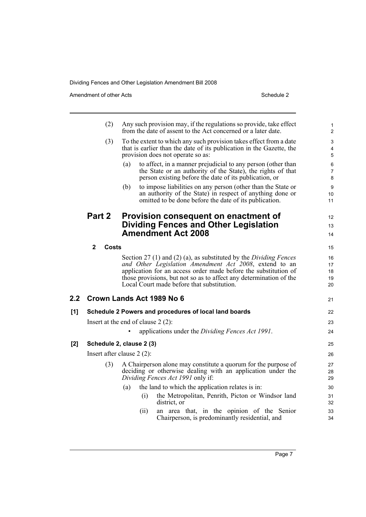Amendment of other Acts Schedule 2

|     | (2)                   | Any such provision may, if the regulations so provide, take effect<br>from the date of assent to the Act concerned or a later date.                                                          | $\mathbf{1}$<br>$\overline{c}$ |
|-----|-----------------------|----------------------------------------------------------------------------------------------------------------------------------------------------------------------------------------------|--------------------------------|
|     | (3)                   | To the extent to which any such provision takes effect from a date<br>that is earlier than the date of its publication in the Gazette, the<br>provision does not operate so as:              | 3<br>4<br>5                    |
|     |                       | (a)<br>to affect, in a manner prejudicial to any person (other than<br>the State or an authority of the State), the rights of that<br>person existing before the date of its publication, or | 6<br>$\overline{7}$<br>8       |
|     |                       | to impose liabilities on any person (other than the State or<br>(b)<br>an authority of the State) in respect of anything done or<br>omitted to be done before the date of its publication.   | 9<br>10<br>11                  |
|     | Part 2                | Provision consequent on enactment of                                                                                                                                                         | 12                             |
|     |                       | Dividing Fences and Other Legislation                                                                                                                                                        | 13                             |
|     |                       | <b>Amendment Act 2008</b>                                                                                                                                                                    | 14                             |
|     | $\mathbf{2}$<br>Costs |                                                                                                                                                                                              | 15                             |
|     |                       | Section 27 (1) and (2) (a), as substituted by the Dividing Fences                                                                                                                            | 16                             |
|     |                       | and Other Legislation Amendment Act 2008, extend to an                                                                                                                                       | 17                             |
|     |                       | application for an access order made before the substitution of<br>those provisions, but not so as to affect any determination of the                                                        | 18<br>19                       |
|     |                       | Local Court made before that substitution.                                                                                                                                                   | 20                             |
| 2.2 |                       | Crown Lands Act 1989 No 6                                                                                                                                                                    | 21                             |
| [1] |                       | Schedule 2 Powers and procedures of local land boards                                                                                                                                        | 22                             |
|     |                       | Insert at the end of clause $2(2)$ :                                                                                                                                                         | 23                             |
|     |                       | applications under the Dividing Fences Act 1991.                                                                                                                                             | 24                             |
| [2] |                       | Schedule 2, clause 2 (3)                                                                                                                                                                     | 25                             |
|     |                       | Insert after clause $2(2)$ :                                                                                                                                                                 | 26                             |
|     | (3)                   | A Chairperson alone may constitute a quorum for the purpose of<br>deciding or otherwise dealing with an application under the                                                                | 27<br>28                       |
|     |                       | Dividing Fences Act 1991 only if:                                                                                                                                                            | 29                             |
|     |                       | the land to which the application relates is in:<br>(a)<br>the Metropolitan, Penrith, Picton or Windsor land<br>(i)                                                                          | 30<br>31                       |
|     |                       | district, or                                                                                                                                                                                 | 32                             |
|     |                       | an area that, in the opinion of the Senior<br>(11)<br>Chairperson, is predominantly residential, and                                                                                         | 33<br>34                       |
|     |                       |                                                                                                                                                                                              |                                |